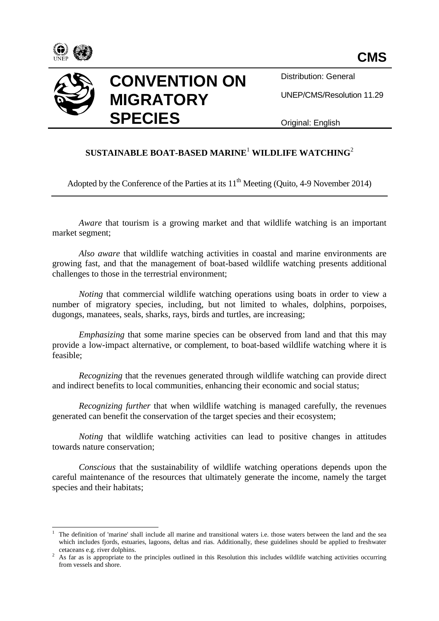



**CONVENTION ON MIGRATORY SPECIES**

Distribution: General

UNEP/CMS/Resolution 11.29

Original: English

## **SUSTAINABLE BOAT-BASED MARINE**<sup>1</sup> **WILDLIFE WATCHING**<sup>2</sup>

Adopted by the Conference of the Parties at its  $11<sup>th</sup>$  Meeting (Quito, 4-9 November 2014)

*Aware* that tourism is a growing market and that wildlife watching is an important market segment;

*Also aware* that wildlife watching activities in coastal and marine environments are growing fast, and that the management of boat-based wildlife watching presents additional challenges to those in the terrestrial environment;

*Noting* that commercial wildlife watching operations using boats in order to view a number of migratory species, including, but not limited to whales, dolphins, porpoises, dugongs, manatees, seals, sharks, rays, birds and turtles, are increasing;

*Emphasizing* that some marine species can be observed from land and that this may provide a low-impact alternative, or complement, to boat-based wildlife watching where it is feasible;

*Recognizing* that the revenues generated through wildlife watching can provide direct and indirect benefits to local communities, enhancing their economic and social status;

*Recognizing further* that when wildlife watching is managed carefully, the revenues generated can benefit the conservation of the target species and their ecosystem;

*Noting* that wildlife watching activities can lead to positive changes in attitudes towards nature conservation;

*Conscious* that the sustainability of wildlife watching operations depends upon the careful maintenance of the resources that ultimately generate the income, namely the target species and their habitats;

 $\overline{\phantom{a}}$ <sup>1</sup> The definition of 'marine' shall include all marine and transitional waters i.e. those waters between the land and the sea which includes fjords, estuaries, lagoons, deltas and rias. Additionally, these guidelines should be applied to freshwater cetaceans e.g. river dolphins.

<sup>&</sup>lt;sup>2</sup> As far as is appropriate to the principles outlined in this Resolution this includes wildlife watching activities occurring from vessels and shore.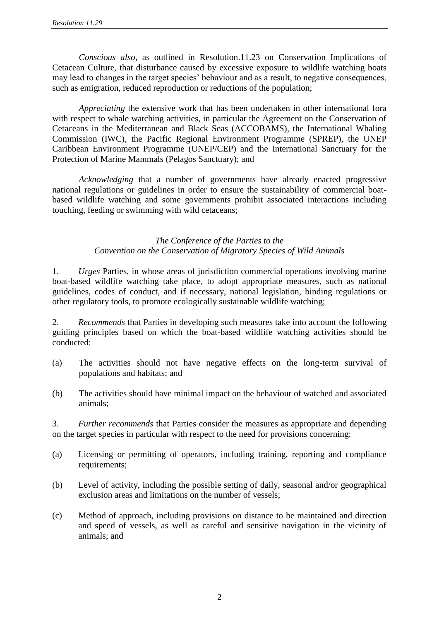*Conscious also*, as outlined in Resolution.11.23 on Conservation Implications of Cetacean Culture, that disturbance caused by excessive exposure to wildlife watching boats may lead to changes in the target species' behaviour and as a result, to negative consequences, such as emigration, reduced reproduction or reductions of the population;

*Appreciating* the extensive work that has been undertaken in other international fora with respect to whale watching activities, in particular the Agreement on the Conservation of Cetaceans in the Mediterranean and Black Seas (ACCOBAMS), the International Whaling Commission (IWC), the Pacific Regional Environment Programme (SPREP), the UNEP Caribbean Environment Programme (UNEP/CEP) and the International Sanctuary for the Protection of Marine Mammals (Pelagos Sanctuary); and

*Acknowledging* that a number of governments have already enacted progressive national regulations or guidelines in order to ensure the sustainability of commercial boatbased wildlife watching and some governments prohibit associated interactions including touching, feeding or swimming with wild cetaceans;

## *The Conference of the Parties to the Convention on the Conservation of Migratory Species of Wild Animals*

1. *Urges* Parties, in whose areas of jurisdiction commercial operations involving marine boat-based wildlife watching take place, to adopt appropriate measures, such as national guidelines, codes of conduct, and if necessary, national legislation, binding regulations or other regulatory tools, to promote ecologically sustainable wildlife watching;

2. *Recommends* that Parties in developing such measures take into account the following guiding principles based on which the boat-based wildlife watching activities should be conducted:

- (a) The activities should not have negative effects on the long-term survival of populations and habitats; and
- (b) The activities should have minimal impact on the behaviour of watched and associated animals;

3. *Further recommends* that Parties consider the measures as appropriate and depending on the target species in particular with respect to the need for provisions concerning:

- (a) Licensing or permitting of operators, including training, reporting and compliance requirements;
- (b) Level of activity, including the possible setting of daily, seasonal and/or geographical exclusion areas and limitations on the number of vessels;
- (c) Method of approach, including provisions on distance to be maintained and direction and speed of vessels, as well as careful and sensitive navigation in the vicinity of animals; and